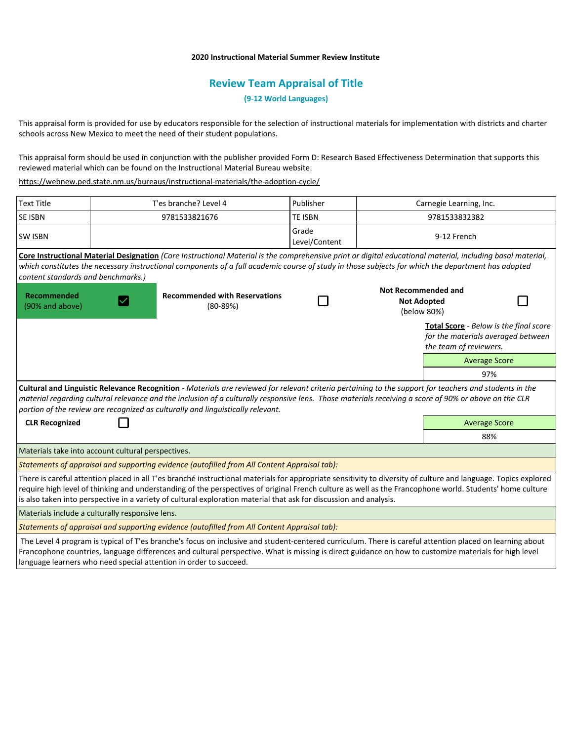## **2020 Instructional Material Summer Review Institute**

## **Review Team Appraisal of Title**

**(9-12 World Languages)**

This appraisal form is provided for use by educators responsible for the selection of instructional materials for implementation with districts and charter schools across New Mexico to meet the need of their student populations.

This appraisal form should be used in conjunction with the publisher provided Form D: Research Based Effectiveness Determination that supports this reviewed material which can be found on the Instructional Material Bureau website.

<https://webnew.ped.state.nm.us/bureaus/instructional-materials/the-adoption-cycle/>

| <b>Text Title</b>                                  |  | T'es branche? Level 4                                                                                                                                                                                                                                                                                                                                                                                                                             | Publisher              | Carnegie Learning, Inc.                                         |                                                                                                               |  |
|----------------------------------------------------|--|---------------------------------------------------------------------------------------------------------------------------------------------------------------------------------------------------------------------------------------------------------------------------------------------------------------------------------------------------------------------------------------------------------------------------------------------------|------------------------|-----------------------------------------------------------------|---------------------------------------------------------------------------------------------------------------|--|
| <b>SE ISBN</b>                                     |  | 9781533821676                                                                                                                                                                                                                                                                                                                                                                                                                                     | <b>TE ISBN</b>         | 9781533832382                                                   |                                                                                                               |  |
| <b>SW ISBN</b>                                     |  |                                                                                                                                                                                                                                                                                                                                                                                                                                                   | Grade<br>Level/Content | 9-12 French                                                     |                                                                                                               |  |
|                                                    |  | Core Instructional Material Designation (Core Instructional Material is the comprehensive print or digital educational material, including basal material,                                                                                                                                                                                                                                                                                        |                        |                                                                 |                                                                                                               |  |
|                                                    |  | which constitutes the necessary instructional components of a full academic course of study in those subjects for which the department has adopted                                                                                                                                                                                                                                                                                                |                        |                                                                 |                                                                                                               |  |
| content standards and benchmarks.)                 |  |                                                                                                                                                                                                                                                                                                                                                                                                                                                   |                        |                                                                 |                                                                                                               |  |
| <b>Recommended</b><br>(90% and above)              |  | <b>Recommended with Reservations</b><br>$(80-89%)$                                                                                                                                                                                                                                                                                                                                                                                                |                        | <b>Not Recommended and</b><br><b>Not Adopted</b><br>(below 80%) |                                                                                                               |  |
|                                                    |  |                                                                                                                                                                                                                                                                                                                                                                                                                                                   |                        |                                                                 | <b>Total Score</b> - Below is the final score<br>for the materials averaged between<br>the team of reviewers. |  |
|                                                    |  |                                                                                                                                                                                                                                                                                                                                                                                                                                                   |                        |                                                                 | <b>Average Score</b>                                                                                          |  |
|                                                    |  |                                                                                                                                                                                                                                                                                                                                                                                                                                                   |                        |                                                                 | 97%                                                                                                           |  |
|                                                    |  | Cultural and Linguistic Relevance Recognition - Materials are reviewed for relevant criteria pertaining to the support for teachers and students in the<br>material regarding cultural relevance and the inclusion of a culturally responsive lens. Those materials receiving a score of 90% or above on the CLR<br>portion of the review are recognized as culturally and linguistically relevant.                                               |                        |                                                                 |                                                                                                               |  |
| <b>CLR Recognized</b>                              |  |                                                                                                                                                                                                                                                                                                                                                                                                                                                   |                        | <b>Average Score</b>                                            |                                                                                                               |  |
|                                                    |  |                                                                                                                                                                                                                                                                                                                                                                                                                                                   |                        |                                                                 | 88%                                                                                                           |  |
| Materials take into account cultural perspectives. |  |                                                                                                                                                                                                                                                                                                                                                                                                                                                   |                        |                                                                 |                                                                                                               |  |
|                                                    |  | Statements of appraisal and supporting evidence (autofilled from All Content Appraisal tab):                                                                                                                                                                                                                                                                                                                                                      |                        |                                                                 |                                                                                                               |  |
|                                                    |  | There is careful attention placed in all T'es branché instructional materials for appropriate sensitivity to diversity of culture and language. Topics explored<br>require high level of thinking and understanding of the perspectives of original French culture as well as the Francophone world. Students' home culture<br>is also taken into perspective in a variety of cultural exploration material that ask for discussion and analysis. |                        |                                                                 |                                                                                                               |  |
| Materials include a culturally responsive lens.    |  |                                                                                                                                                                                                                                                                                                                                                                                                                                                   |                        |                                                                 |                                                                                                               |  |
|                                                    |  | Statements of appraisal and supporting evidence (autofilled from All Content Appraisal tab):                                                                                                                                                                                                                                                                                                                                                      |                        |                                                                 |                                                                                                               |  |
|                                                    |  | The Level 4 program is typical of T'es branche's focus on inclusive and student-centered curriculum. There is careful attention placed on learning about<br>Francophone countries, language differences and cultural perspective. What is missing is direct guidance on how to customize materials for high level                                                                                                                                 |                        |                                                                 |                                                                                                               |  |

language learners who need special attention in order to succeed.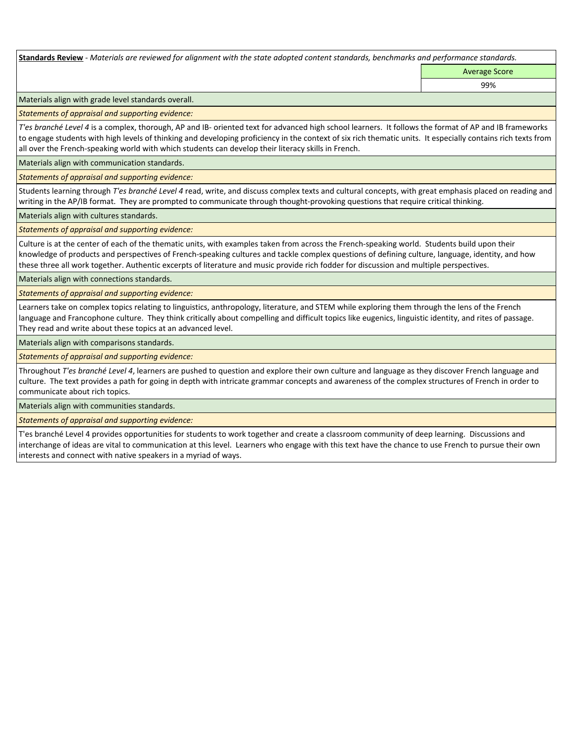**Standards Review** *- Materials are reviewed for alignment with the state adopted content standards, benchmarks and performance standards.*

Average Score

99%

Materials align with grade level standards overall.

*Statements of appraisal and supporting evidence:* 

*T'es branché Level 4* is a complex, thorough, AP and IB- oriented text for advanced high school learners. It follows the format of AP and IB frameworks to engage students with high levels of thinking and developing proficiency in the context of six rich thematic units. It especially contains rich texts from all over the French-speaking world with which students can develop their literacy skills in French.

Materials align with communication standards.

*Statements of appraisal and supporting evidence:* 

Students learning through *T'es branché Level 4* read, write, and discuss complex texts and cultural concepts, with great emphasis placed on reading and writing in the AP/IB format. They are prompted to communicate through thought-provoking questions that require critical thinking.

Materials align with cultures standards.

*Statements of appraisal and supporting evidence:* 

Culture is at the center of each of the thematic units, with examples taken from across the French-speaking world. Students build upon their knowledge of products and perspectives of French-speaking cultures and tackle complex questions of defining culture, language, identity, and how these three all work together. Authentic excerpts of literature and music provide rich fodder for discussion and multiple perspectives.

Materials align with connections standards.

*Statements of appraisal and supporting evidence:* 

Learners take on complex topics relating to linguistics, anthropology, literature, and STEM while exploring them through the lens of the French language and Francophone culture. They think critically about compelling and difficult topics like eugenics, linguistic identity, and rites of passage. They read and write about these topics at an advanced level.

Materials align with comparisons standards.

*Statements of appraisal and supporting evidence:* 

Throughout *T'es branché Level 4*, learners are pushed to question and explore their own culture and language as they discover French language and culture. The text provides a path for going in depth with intricate grammar concepts and awareness of the complex structures of French in order to communicate about rich topics.

Materials align with communities standards.

*Statements of appraisal and supporting evidence:* 

T'es branché Level 4 provides opportunities for students to work together and create a classroom community of deep learning. Discussions and interchange of ideas are vital to communication at this level. Learners who engage with this text have the chance to use French to pursue their own interests and connect with native speakers in a myriad of ways.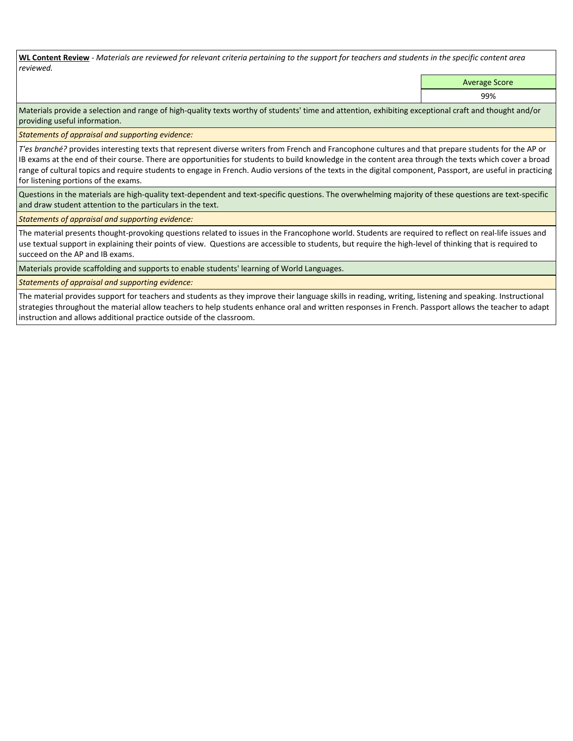**WL Content Review** *- Materials are reviewed for relevant criteria pertaining to the support for teachers and students in the specific content area reviewed.*

Average Score

99%

Materials provide a selection and range of high-quality texts worthy of students' time and attention, exhibiting exceptional craft and thought and/or providing useful information.

*Statements of appraisal and supporting evidence:* 

*T'es branché?* provides interesting texts that represent diverse writers from French and Francophone cultures and that prepare students for the AP or IB exams at the end of their course. There are opportunities for students to build knowledge in the content area through the texts which cover a broad range of cultural topics and require students to engage in French. Audio versions of the texts in the digital component, Passport, are useful in practicing for listening portions of the exams.

Questions in the materials are high-quality text-dependent and text-specific questions. The overwhelming majority of these questions are text-specific and draw student attention to the particulars in the text.

*Statements of appraisal and supporting evidence:* 

The material presents thought-provoking questions related to issues in the Francophone world. Students are required to reflect on real-life issues and use textual support in explaining their points of view. Questions are accessible to students, but require the high-level of thinking that is required to succeed on the AP and IB exams.

Materials provide scaffolding and supports to enable students' learning of World Languages.

*Statements of appraisal and supporting evidence:* 

The material provides support for teachers and students as they improve their language skills in reading, writing, listening and speaking. Instructional strategies throughout the material allow teachers to help students enhance oral and written responses in French. Passport allows the teacher to adapt instruction and allows additional practice outside of the classroom.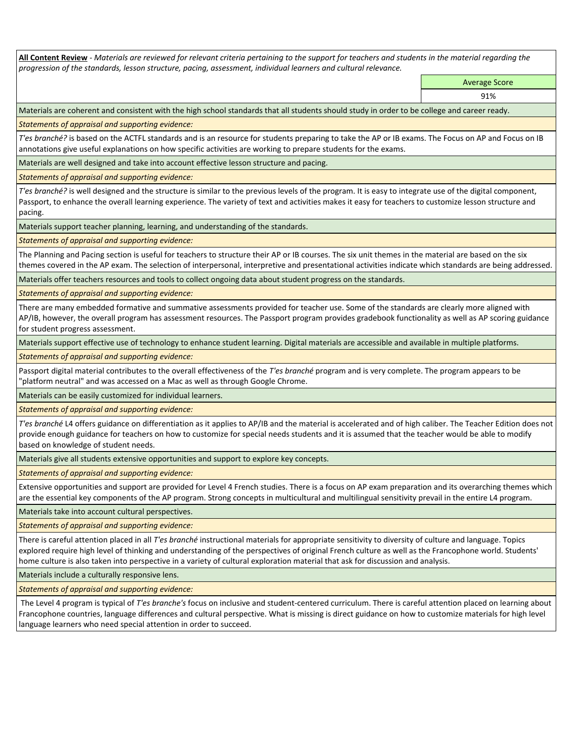**All Content Review** *- Materials are reviewed for relevant criteria pertaining to the support for teachers and students in the material regarding the progression of the standards, lesson structure, pacing, assessment, individual learners and cultural relevance.*

> Average Score 91%

Materials are coherent and consistent with the high school standards that all students should study in order to be college and career ready.

*Statements of appraisal and supporting evidence:*

*T'es branché?* is based on the ACTFL standards and is an resource for students preparing to take the AP or IB exams. The Focus on AP and Focus on IB annotations give useful explanations on how specific activities are working to prepare students for the exams.

Materials are well designed and take into account effective lesson structure and pacing.

*Statements of appraisal and supporting evidence:*

*T'es branché?* is well designed and the structure is similar to the previous levels of the program. It is easy to integrate use of the digital component, Passport, to enhance the overall learning experience. The variety of text and activities makes it easy for teachers to customize lesson structure and pacing.

Materials support teacher planning, learning, and understanding of the standards.

*Statements of appraisal and supporting evidence:*

The Planning and Pacing section is useful for teachers to structure their AP or IB courses. The six unit themes in the material are based on the six themes covered in the AP exam. The selection of interpersonal, interpretive and presentational activities indicate which standards are being addressed.

Materials offer teachers resources and tools to collect ongoing data about student progress on the standards.

*Statements of appraisal and supporting evidence:*

There are many embedded formative and summative assessments provided for teacher use. Some of the standards are clearly more aligned with AP/IB, however, the overall program has assessment resources. The Passport program provides gradebook functionality as well as AP scoring guidance for student progress assessment.

Materials support effective use of technology to enhance student learning. Digital materials are accessible and available in multiple platforms.

*Statements of appraisal and supporting evidence:*

Passport digital material contributes to the overall effectiveness of the *T'es branché* program and is very complete. The program appears to be "platform neutral" and was accessed on a Mac as well as through Google Chrome.

Materials can be easily customized for individual learners.

*Statements of appraisal and supporting evidence:* 

*T'es branché* L4 offers guidance on differentiation as it applies to AP/IB and the material is accelerated and of high caliber. The Teacher Edition does not provide enough guidance for teachers on how to customize for special needs students and it is assumed that the teacher would be able to modify based on knowledge of student needs.

Materials give all students extensive opportunities and support to explore key concepts.

*Statements of appraisal and supporting evidence:*

Extensive opportunities and support are provided for Level 4 French studies. There is a focus on AP exam preparation and its overarching themes which are the essential key components of the AP program. Strong concepts in multicultural and multilingual sensitivity prevail in the entire L4 program.

Materials take into account cultural perspectives.

*Statements of appraisal and supporting evidence:*

There is careful attention placed in all *T'es branché* instructional materials for appropriate sensitivity to diversity of culture and language. Topics explored require high level of thinking and understanding of the perspectives of original French culture as well as the Francophone world. Students' home culture is also taken into perspective in a variety of cultural exploration material that ask for discussion and analysis.

Materials include a culturally responsive lens.

*Statements of appraisal and supporting evidence:*

 The Level 4 program is typical of *T'es branche's* focus on inclusive and student-centered curriculum. There is careful attention placed on learning about Francophone countries, language differences and cultural perspective. What is missing is direct guidance on how to customize materials for high level language learners who need special attention in order to succeed.